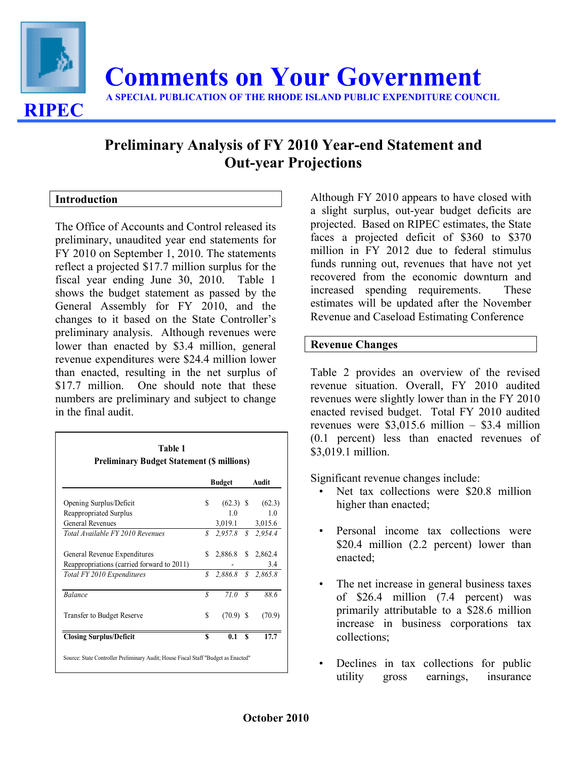

# **Preliminary Analysis of FY 2010 Year-end Statement and Out-year Projections**

## **Introduction**

The Office of Accounts and Control released its preliminary, unaudited year end statements for FY 2010 on September 1, 2010. The statements reflect a projected \$17.7 million surplus for the fiscal year ending June 30, 2010. Table 1 shows the budget statement as passed by the General Assembly for FY 2010, and the changes to it based on the State Controller's preliminary analysis. Although revenues were lower than enacted by \$3.4 million, general revenue expenditures were \$24.4 million lower than enacted, resulting in the net surplus of \$17.7 million. One should note that these numbers are preliminary and subject to change in the final audit.

|                                            |               | <b>Budget</b>         |   | Audit          |
|--------------------------------------------|---------------|-----------------------|---|----------------|
| Opening Surplus/Deficit                    | \$            | $(62.3)$ \$           |   | (62.3)         |
| Reappropriated Surplus                     |               | 10                    |   | 1 <sub>0</sub> |
| General Revenues                           |               | 3,019.1 3,015.6       |   |                |
| Total Available FY 2010 Revenues           | $\mathcal{S}$ | 2,957.8 \$ 2,954.4    |   |                |
| General Revenue Expenditures               | S.            | 2,886.8 \$ 2,862.4    |   |                |
| Reappropriations (carried forward to 2011) |               |                       |   | 3.4            |
| Total FY 2010 Expenditures                 |               | $$2,886.8$ $$2,865.8$ |   |                |
| <b>Balance</b>                             | S             | 710S                  |   | 88.6           |
| <b>Transfer to Budget Reserve</b>          | S             | $(70.9)$ \$           |   | (70.9)         |
| <b>Closing Surplus/Deficit</b>             | S             | 0.1                   | S | 17.7           |

Although FY 2010 appears to have closed with a slight surplus, out-year budget deficits are projected. Based on RIPEC estimates, the State faces a projected deficit of \$360 to \$370 million in FY 2012 due to federal stimulus funds running out, revenues that have not yet recovered from the economic downturn and increased spending requirements. These estimates will be updated after the November Revenue and Caseload Estimating Conference

## **Revenue Changes**

Table 2 provides an overview of the revised revenue situation. Overall, FY 2010 audited revenues were slightly lower than in the FY 2010 enacted revised budget. Total FY 2010 audited revenues were \$3,015.6 million – \$3.4 million (0.1 percent) less than enacted revenues of \$3,019.1 million.

Significant revenue changes include:

- Net tax collections were \$20.8 million higher than enacted;
- Personal income tax collections were \$20.4 million (2.2 percent) lower than enacted;
- The net increase in general business taxes of \$26.4 million (7.4 percent) was primarily attributable to a \$28.6 million increase in business corporations tax collections;
- Declines in tax collections for public utility gross earnings, insurance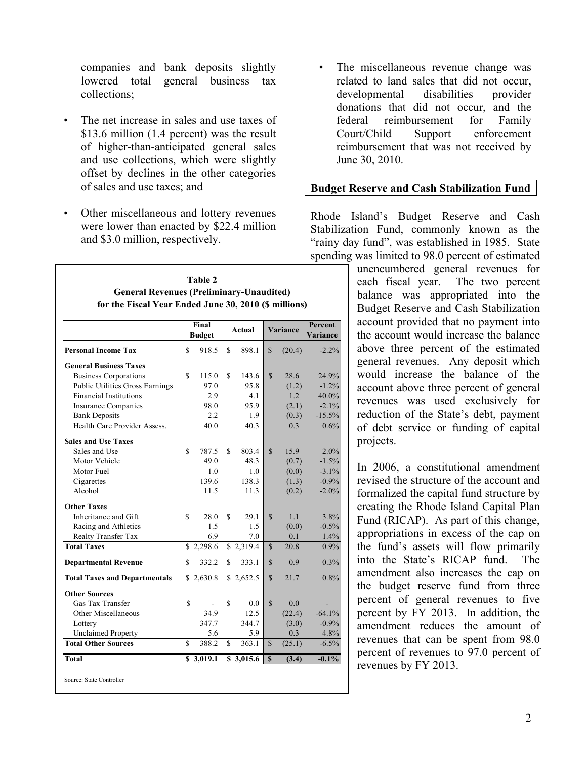companies and bank deposits slightly lowered total general business tax collections;

- The net increase in sales and use taxes of \$13.6 million (1.4 percent) was the result of higher-than-anticipated general sales and use collections, which were slightly offset by declines in the other categories of sales and use taxes; and
- Other miscellaneous and lottery revenues were lower than enacted by \$22.4 million and \$3.0 million, respectively.

**Table 2**

|                                      | Final<br><b>Budget</b> |    | <b>Actual</b>        |               | Variance | Percent<br>Variance |
|--------------------------------------|------------------------|----|----------------------|---------------|----------|---------------------|
| <b>Personal Income Tax</b>           | \$<br>918.5            | \$ | 898.1                | \$            | (20.4)   | $-2.2%$             |
| <b>General Business Taxes</b>        |                        |    |                      |               |          |                     |
| <b>Business Corporations</b>         | \$<br>115.0            | \$ | 143.6                | $\mathcal{S}$ | 28.6     | 24.9%               |
| Public Utilities Gross Earnings      | 97.0                   |    | 95.8                 |               | (1.2)    | $-1.2%$             |
| <b>Financial Institutions</b>        | 2.9                    |    | 4.1                  |               | 1.2      | 40.0%               |
| <b>Insurance Companies</b>           | 98.0                   |    | 95.9                 |               | (2.1)    | $-2.1%$             |
| <b>Bank Deposits</b>                 | $2.2\,$                |    | 1.9                  |               | (0.3)    | $-15.5%$            |
| Health Care Provider Assess.         | 40.0                   |    | 40.3                 |               | 0.3      | 0.6%                |
| <b>Sales and Use Taxes</b>           |                        |    |                      |               |          |                     |
| Sales and Use                        | \$<br>787.5            | \$ | 803.4                | $\mathbf S$   | 15.9     | 2.0%                |
| Motor Vehicle                        | 49.0                   |    | 48.3                 |               | (0.7)    | $-1.5%$             |
| Motor Fuel                           | 1.0                    |    | 1.0                  |               | (0.0)    | $-3.1%$             |
| Cigarettes                           | 139.6                  |    | 138.3                |               | (1.3)    | $-0.9%$             |
| Alcohol                              | 11.5                   |    | 11.3                 |               | (0.2)    | $-2.0%$             |
| <b>Other Taxes</b>                   |                        |    |                      |               |          |                     |
| Inheritance and Gift                 | \$<br>28.0             | \$ | 29.1                 | $\mathbf S$   | 1.1      | 3.8%                |
| Racing and Athletics                 | 1.5                    |    | 1.5                  |               | (0.0)    | $-0.5%$             |
| <b>Realty Transfer Tax</b>           | 6.9                    |    | 7.0                  |               | 0.1      | 1.4%                |
| <b>Total Taxes</b>                   | \$2,298.6              |    | \$2,319.4            | $\mathcal{S}$ | 20.8     | 0.9%                |
| <b>Departmental Revenue</b>          | \$<br>332.2            | \$ | 333.1                | $\mathbb{S}$  | 0.9      | 0.3%                |
| <b>Total Taxes and Departmentals</b> | \$2,630.8              |    | \$2,652.5            | $\mathbb{S}$  | 21.7     | 0.8%                |
| <b>Other Sources</b>                 |                        |    |                      |               |          |                     |
| Gas Tax Transfer                     | \$                     | S  | 0.0                  | $\mathbf S$   | 0.0      |                     |
| Other Miscellaneous                  | 34.9                   |    | 12.5                 |               | (22.4)   | $-64.1%$            |
| Lottery                              | 347.7                  |    | 344.7                |               | (3.0)    | $-0.9%$             |
| <b>Unclaimed Property</b>            | 5.6                    |    | 5.9                  |               | 0.3      | 4.8%                |
| <b>Total Other Sources</b>           | \$<br>388.2            | \$ | 363.1                | $\mathbb{S}$  | (25.1)   | $-6.5%$             |
| <b>Total</b>                         | \$3,019.1              |    | $\overline{3,015.6}$ | $\mathbf S$   | (3.4)    | $-0.1\%$            |

The miscellaneous revenue change was related to land sales that did not occur, developmental disabilities provider donations that did not occur, and the federal reimbursement for Family Court/Child Support enforcement reimbursement that was not received by June 30, 2010.

## **Budget Reserve and Cash Stabilization Fund**

Rhode Island's Budget Reserve and Cash Stabilization Fund, commonly known as the "rainy day fund", was established in 1985. State spending was limited to 98.0 percent of estimated

unencumbered general revenues for each fiscal year. The two percent balance was appropriated into the Budget Reserve and Cash Stabilization account provided that no payment into the account would increase the balance above three percent of the estimated general revenues. Any deposit which would increase the balance of the account above three percent of general revenues was used exclusively for reduction of the State's debt, payment of debt service or funding of capital projects.

In 2006, a constitutional amendment revised the structure of the account and formalized the capital fund structure by creating the Rhode Island Capital Plan Fund (RICAP). As part of this change, appropriations in excess of the cap on the fund's assets will flow primarily into the State's RICAP fund. The amendment also increases the cap on the budget reserve fund from three percent of general revenues to five percent by FY 2013. In addition, the amendment reduces the amount of revenues that can be spent from 98.0 percent of revenues to 97.0 percent of revenues by FY 2013.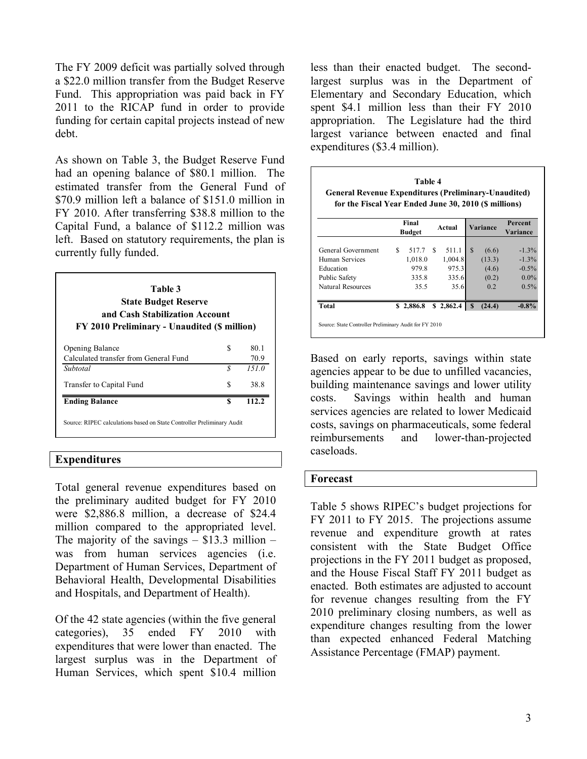The FY 2009 deficit was partially solved through a \$22.0 million transfer from the Budget Reserve Fund. This appropriation was paid back in FY 2011 to the RICAP fund in order to provide funding for certain capital projects instead of new debt.

As shown on Table 3, the Budget Reserve Fund had an opening balance of \$80.1 million. The estimated transfer from the General Fund of \$70.9 million left a balance of \$151.0 million in FY 2010. After transferring \$38.8 million to the Capital Fund, a balance of \$112.2 million was left. Based on statutory requirements, the plan is currently fully funded.

| <b>State Budget Reserve</b><br>and Cash Stabilization Account<br>FY 2010 Preliminary - Unaudited (\$ million) |    |       |
|---------------------------------------------------------------------------------------------------------------|----|-------|
| <b>Opening Balance</b>                                                                                        | S  | 80.1  |
| Calculated transfer from General Fund                                                                         |    | 70.9  |
| Subtotal                                                                                                      | S  | 151.0 |
| Transfer to Capital Fund                                                                                      | S  | 38.8  |
| <b>Ending Balance</b>                                                                                         | \$ | 112.2 |

## **Expenditures**

Total general revenue expenditures based on the preliminary audited budget for FY 2010 were \$2,886.8 million, a decrease of \$24.4 million compared to the appropriated level. The majority of the savings  $-$  \$13.3 million  $$ was from human services agencies (i.e. Department of Human Services, Department of Behavioral Health, Developmental Disabilities and Hospitals, and Department of Health).

Of the 42 state agencies (within the five general categories), 35 ended FY 2010 with expenditures that were lower than enacted. The largest surplus was in the Department of Human Services, which spent \$10.4 million less than their enacted budget. The secondlargest surplus was in the Department of Elementary and Secondary Education, which spent \$4.1 million less than their FY 2010 appropriation. The Legislature had the third largest variance between enacted and final expenditures (\$3.4 million).

| Table 4<br><b>General Revenue Expenditures (Preliminary-Unaudited)</b><br>for the Fiscal Year Ended June 30, 2010 (\$ millions) |     |                        |     |           |              |          |                     |  |  |  |
|---------------------------------------------------------------------------------------------------------------------------------|-----|------------------------|-----|-----------|--------------|----------|---------------------|--|--|--|
|                                                                                                                                 |     | Final<br><b>Budget</b> |     | Actual    |              | Variance | Percent<br>Variance |  |  |  |
| General Government                                                                                                              | \$. | 517.7                  | \$. | 511.1     | \$.          | (6.6)    | $-1.3%$             |  |  |  |
| Human Services                                                                                                                  |     | 1,018.0                |     | 1,004.8   |              | (13.3)   | $-1.3%$             |  |  |  |
| Education                                                                                                                       |     | 979.8                  |     | 975.3     |              | (4.6)    | $-0.5%$             |  |  |  |
| Public Safety                                                                                                                   |     | 335.8                  |     | 335.6     |              | (0.2)    | $0.0\%$             |  |  |  |
| Natural Resources                                                                                                               |     | 35.5                   |     | 35.6      |              | 0.2      | $0.5\%$             |  |  |  |
| <b>Total</b>                                                                                                                    |     | \$2,886.8              |     | \$2,862.4 | $\mathbf{s}$ | (24.4)   | $-0.8%$             |  |  |  |

Based on early reports, savings within state agencies appear to be due to unfilled vacancies, building maintenance savings and lower utility costs. Savings within health and human services agencies are related to lower Medicaid costs, savings on pharmaceuticals, some federal reimbursements and lower-than-projected caseloads.

#### **Forecast**

Table 5 shows RIPEC's budget projections for FY 2011 to FY 2015. The projections assume revenue and expenditure growth at rates consistent with the State Budget Office projections in the FY 2011 budget as proposed, and the House Fiscal Staff FY 2011 budget as enacted. Both estimates are adjusted to account for revenue changes resulting from the FY 2010 preliminary closing numbers, as well as expenditure changes resulting from the lower than expected enhanced Federal Matching Assistance Percentage (FMAP) payment.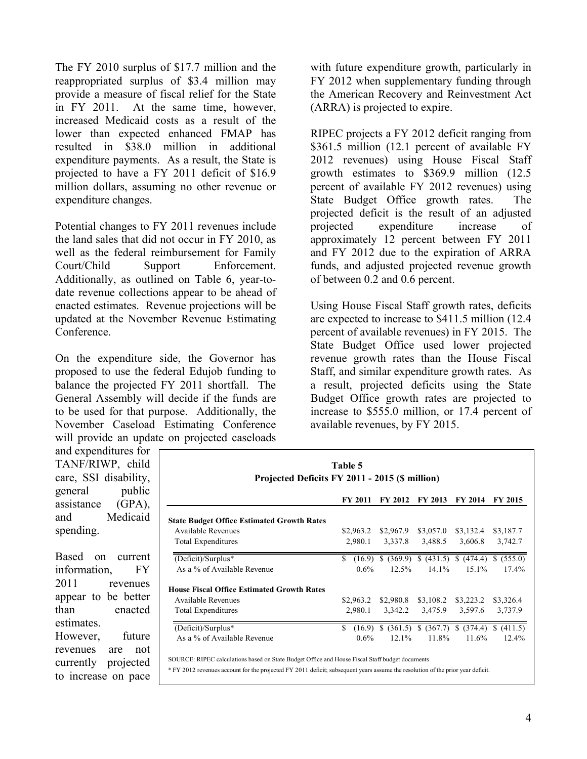The FY 2010 surplus of \$17.7 million and the reappropriated surplus of \$3.4 million may provide a measure of fiscal relief for the State in FY 2011. At the same time, however, increased Medicaid costs as a result of the lower than expected enhanced FMAP has resulted in \$38.0 million in additional expenditure payments. As a result, the State is projected to have a FY 2011 deficit of \$16.9 million dollars, assuming no other revenue or expenditure changes.

Potential changes to FY 2011 revenues include the land sales that did not occur in FY 2010, as well as the federal reimbursement for Family Court/Child Support Enforcement. Additionally, as outlined on Table 6, year-todate revenue collections appear to be ahead of enacted estimates. Revenue projections will be updated at the November Revenue Estimating Conference.

On the expenditure side, the Governor has proposed to use the federal Edujob funding to balance the projected FY 2011 shortfall. The General Assembly will decide if the funds are to be used for that purpose. Additionally, the November Caseload Estimating Conference will provide an update on projected caseloads

with future expenditure growth, particularly in FY 2012 when supplementary funding through the American Recovery and Reinvestment Act (ARRA) is projected to expire.

RIPEC projects a FY 2012 deficit ranging from \$361.5 million (12.1 percent of available FY 2012 revenues) using House Fiscal Staff growth estimates to \$369.9 million (12.5 percent of available FY 2012 revenues) using State Budget Office growth rates. The projected deficit is the result of an adjusted projected expenditure increase of approximately 12 percent between FY 2011 and FY 2012 due to the expiration of ARRA funds, and adjusted projected revenue growth of between 0.2 and 0.6 percent.

Using House Fiscal Staff growth rates, deficits are expected to increase to \$411.5 million (12.4 percent of available revenues) in FY 2015. The State Budget Office used lower projected revenue growth rates than the House Fiscal Staff, and similar expenditure growth rates. As a result, projected deficits using the State Budget Office growth rates are projected to increase to \$555.0 million, or 17.4 percent of available revenues, by FY 2015.

and expenditures for TANF/RIWP, child care, SSI disability, general public assistance (GPA), and Medicaid spending.

Based on current information, FY 2011 revenues appear to be better than enacted estimates. However, future revenues are not currently projected to increase on pace

| Table 5<br>Projected Deficits FY 2011 - 2015 (\$ million) |               |                |                |                                                 |                |  |
|-----------------------------------------------------------|---------------|----------------|----------------|-------------------------------------------------|----------------|--|
|                                                           | FY 2011       | <b>FY 2012</b> | <b>FY 2013</b> | <b>FY 2014</b>                                  | <b>FY 2015</b> |  |
| <b>State Budget Office Estimated Growth Rates</b>         |               |                |                |                                                 |                |  |
| Available Revenues                                        | \$2,963.2     | \$2,967.9      | \$3,057.0      | \$3,132.4                                       | \$3,187.7      |  |
| <b>Total Expenditures</b>                                 | 2,980.1       | 3,337.8        | 3,488.5        | 3,606.8                                         | 3,742.7        |  |
| (Deficit)/Surplus*                                        | \$<br>(16.9)  | \$.<br>(369.9) | (431.5)        | S.<br>(474.4)                                   | (555.0)<br>S.  |  |
| As a % of Available Revenue                               | $0.6\%$       | 12.5%          | 14.1%          | 15.1%                                           | 17.4%          |  |
| <b>House Fiscal Office Estimated Growth Rates</b>         |               |                |                |                                                 |                |  |
| Available Revenues                                        | \$2,963.2     | \$2,980.8      | \$3,108.2      | \$3,223.2                                       | \$3,326.4      |  |
| <b>Total Expenditures</b>                                 | 2,980.1       | 3,342.2        | 3,475.9        | 3,597.6                                         | 3,737.9        |  |
| (Deficit)/Surplus*                                        | \$.<br>(16.9) |                |                | $$$ (361.5) $$$ (367.7) $$$ (374.4) $$$ (411.5) |                |  |
| As a % of Available Revenue                               | $0.6\%$       | 12.1%          | 11.8%          | 11.6%                                           | 12.4%          |  |

SOURCE: RIPEC calculations based on State Budget Office and House Fiscal Staff budget documents

\* FY 2012 revenues account for the projected FY 2011 deficit; subsequent years assume the resolution of the prior year deficit.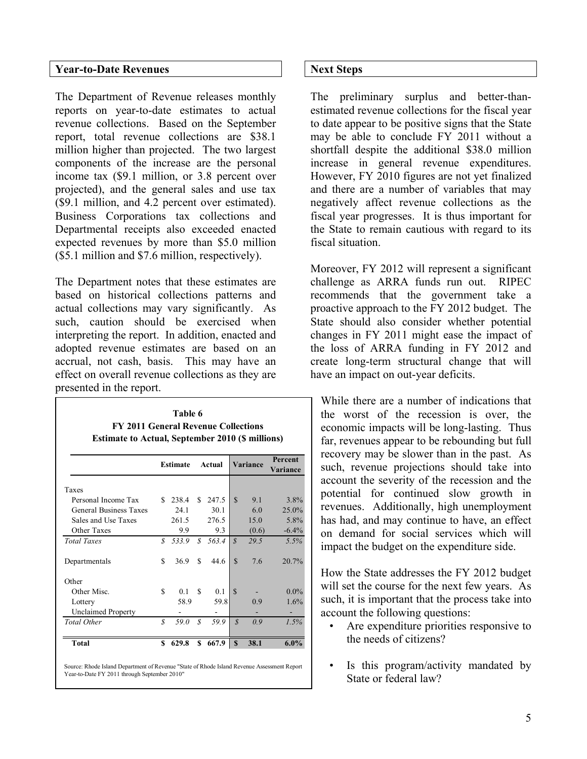## **Year-to-Date Revenues**

The Department of Revenue releases monthly reports on year-to-date estimates to actual revenue collections. Based on the September report, total revenue collections are \$38.1 million higher than projected. The two largest components of the increase are the personal income tax (\$9.1 million, or 3.8 percent over projected), and the general sales and use tax (\$9.1 million, and 4.2 percent over estimated). Business Corporations tax collections and Departmental receipts also exceeded enacted expected revenues by more than \$5.0 million (\$5.1 million and \$7.6 million, respectively).

The Department notes that these estimates are based on historical collections patterns and actual collections may vary significantly. As such, caution should be exercised when interpreting the report. In addition, enacted and adopted revenue estimates are based on an accrual, not cash, basis. This may have an effect on overall revenue collections as they are presented in the report.

| Table 6                                                 |  |
|---------------------------------------------------------|--|
| <b>FY 2011 General Revenue Collections</b>              |  |
| <b>Estimate to Actual, September 2010 (\$ millions)</b> |  |

| S | 238.4<br>24.1  | \$                | 247.5 | $\mathcal{S}$ |       |         |
|---|----------------|-------------------|-------|---------------|-------|---------|
|   |                |                   |       |               |       |         |
|   |                |                   |       |               | 9.1   | 3.8%    |
|   |                |                   | 30.1  |               | 6.0   | 25.0%   |
|   | 261.5          |                   | 276.5 |               | 15.0  | 5.8%    |
|   | 9.9            |                   | 9.3   |               | (0.6) | $-6.4%$ |
| S | 533.9          | S                 | 563.4 | $\mathcal{S}$ | 29.5  | 5.5%    |
| S | 36.9           | S                 | 44.6  | $\mathcal{S}$ | 7.6   | 20.7%   |
|   |                |                   |       |               |       |         |
| S | 0 <sub>1</sub> | \$.               | 0.1   | $\mathcal{S}$ |       | $0.0\%$ |
|   | 58.9           |                   | 59.8  |               | 0.9   | 1.6%    |
|   |                |                   |       |               |       |         |
| S | 59.0           | $\mathcal{S}_{0}$ | 59.9  | $\mathcal{S}$ | 0.9   | 1.5%    |
| S | 629.8          | \$                | 667.9 | S             | 38.1  | $6.0\%$ |
|   |                |                   |       |               |       |         |

Source: Rhode Island Department of Revenue "State of Rhode Island Revenue Assessment Report Year-to-Date FY 2011 through September 2010"

## **Next Steps**

The preliminary surplus and better-thanestimated revenue collections for the fiscal year to date appear to be positive signs that the State may be able to conclude FY 2011 without a shortfall despite the additional \$38.0 million increase in general revenue expenditures. However, FY 2010 figures are not yet finalized and there are a number of variables that may negatively affect revenue collections as the fiscal year progresses. It is thus important for the State to remain cautious with regard to its fiscal situation.

Moreover, FY 2012 will represent a significant challenge as ARRA funds run out. RIPEC recommends that the government take a proactive approach to the FY 2012 budget. The State should also consider whether potential changes in FY 2011 might ease the impact of the loss of ARRA funding in FY 2012 and create long-term structural change that will have an impact on out-year deficits.

While there are a number of indications that the worst of the recession is over, the economic impacts will be long-lasting. Thus far, revenues appear to be rebounding but full recovery may be slower than in the past. As such, revenue projections should take into account the severity of the recession and the potential for continued slow growth in revenues. Additionally, high unemployment has had, and may continue to have, an effect on demand for social services which will impact the budget on the expenditure side.

How the State addresses the FY 2012 budget will set the course for the next few years. As such, it is important that the process take into account the following questions:

- Are expenditure priorities responsive to the needs of citizens?
- Is this program/activity mandated by State or federal law?